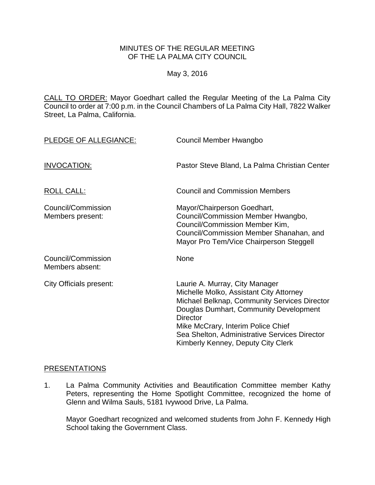## MINUTES OF THE REGULAR MEETING OF THE LA PALMA CITY COUNCIL

## May 3, 2016

CALL TO ORDER: [Mayor Goedhart called the Regular Meeting of the La Palma City](http://lapalma.granicus.com/MediaPlayer.php?view_id=&clip_id=990&meta_id=132078)  [Council to order at 7:00 p.m. in the Council Chambers of La Palma City Hall, 7822 Walker](http://lapalma.granicus.com/MediaPlayer.php?view_id=&clip_id=990&meta_id=132078)  [Street, La Palma, California.](http://lapalma.granicus.com/MediaPlayer.php?view_id=&clip_id=990&meta_id=132078)

| PLEDGE OF ALLEGIANCE:                  | Council Member Hwangbo                                                                                                                                                                                                                                                                                              |
|----------------------------------------|---------------------------------------------------------------------------------------------------------------------------------------------------------------------------------------------------------------------------------------------------------------------------------------------------------------------|
| <b>INVOCATION:</b>                     | Pastor Steve Bland, La Palma Christian Center                                                                                                                                                                                                                                                                       |
| <b>ROLL CALL:</b>                      | <b>Council and Commission Members</b>                                                                                                                                                                                                                                                                               |
| Council/Commission<br>Members present: | Mayor/Chairperson Goedhart,<br>Council/Commission Member Hwangbo,<br>Council/Commission Member Kim,<br>Council/Commission Member Shanahan, and<br>Mayor Pro Tem/Vice Chairperson Steggell                                                                                                                           |
| Council/Commission<br>Members absent:  | None                                                                                                                                                                                                                                                                                                                |
| <b>City Officials present:</b>         | Laurie A. Murray, City Manager<br>Michelle Molko, Assistant City Attorney<br>Michael Belknap, Community Services Director<br>Douglas Dumhart, Community Development<br><b>Director</b><br>Mike McCrary, Interim Police Chief<br>Sea Shelton, Administrative Services Director<br>Kimberly Kenney, Deputy City Clerk |

#### [PRESENTATIONS](http://lapalma.granicus.com/MediaPlayer.php?view_id=&clip_id=990&meta_id=132082)

1. [La Palma Community Activities and Beautification Committee member Kathy](http://lapalma.granicus.com/MediaPlayer.php?view_id=&clip_id=990&meta_id=132083)  [Peters, representing the Home Spotlight Committee,](http://lapalma.granicus.com/MediaPlayer.php?view_id=&clip_id=990&meta_id=132083) recognized the home of [Glenn and Wilma Sauls, 5181 Ivywood Drive, La Palma.](http://lapalma.granicus.com/MediaPlayer.php?view_id=&clip_id=990&meta_id=132083)

Mayor Goedhart recognized and welcomed students from John F. Kennedy High School taking the Government Class.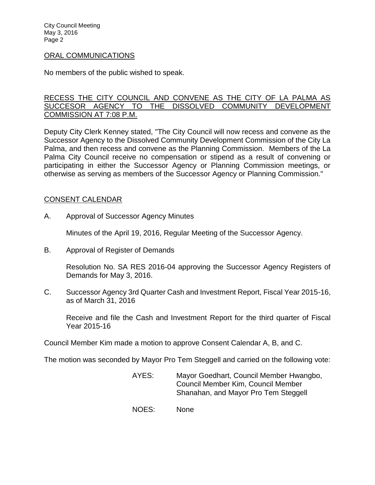City Council Meeting May 3, 2016 Page 2

### [ORAL COMMUNICATIONS](http://lapalma.granicus.com/MediaPlayer.php?view_id=&clip_id=990&meta_id=132086)

No members of the public wished to speak.

## [RECESS THE CITY COUNCIL AND CONVENE AS THE CITY OF LA PALMA AS](http://lapalma.granicus.com/MediaPlayer.php?view_id=&clip_id=990&meta_id=132087)  [SUCCESOR AGENCY TO THE DISSOLVED COMMUNITY DEVELOPMENT](http://lapalma.granicus.com/MediaPlayer.php?view_id=&clip_id=990&meta_id=132087)  [COMMISSION AT 7:08 P.M.](http://lapalma.granicus.com/MediaPlayer.php?view_id=&clip_id=990&meta_id=132087)

Deputy City Clerk Kenney stated, "The City Council will now recess and convene as the Successor Agency to the Dissolved Community Development Commission of the City La Palma, and then recess and convene as the Planning Commission. Members of the La Palma City Council receive no compensation or stipend as a result of convening or participating in either the Successor Agency or Planning Commission meetings, or otherwise as serving as members of the Successor Agency or Planning Commission."

## [CONSENT CALENDAR](http://lapalma.granicus.com/MediaPlayer.php?view_id=&clip_id=990&meta_id=132089)

A. Approval of Successor Agency Minutes

Minutes of the April 19, 2016, Regular Meeting of the Successor Agency.

B. Approval of Register of Demands

Resolution No. SA RES 2016-04 approving the Successor Agency Registers of Demands for May 3, 2016.

C. Successor Agency 3rd Quarter Cash and Investment Report, Fiscal Year 2015-16, as of March 31, 2016

Receive and file the Cash and Investment Report for the third quarter of Fiscal Year 2015-16

Council Member Kim made a motion to approve Consent Calendar A, B, and C.

The motion was seconded by Mayor Pro Tem Steggell and carried on the following vote:

- AYES: Mayor Goedhart, Council Member Hwangbo, Council Member Kim, Council Member Shanahan, and Mayor Pro Tem Steggell
- NOES: None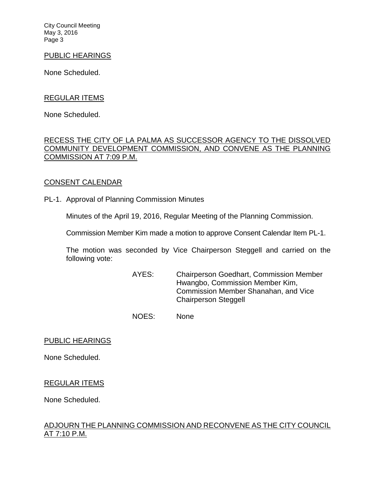City Council Meeting May 3, 2016 Page 3

#### PUBLIC HEARINGS

None Scheduled.

### REGULAR ITEMS

None Scheduled.

## [RECESS THE CITY OF LA PALMA AS SUCCESSOR AGENCY TO THE DISSOLVED](http://lapalma.granicus.com/MediaPlayer.php?view_id=&clip_id=990&meta_id=132096)  [COMMUNITY DEVELOPMENT COMMISSION, AND CONVENE AS THE PLANNING](http://lapalma.granicus.com/MediaPlayer.php?view_id=&clip_id=990&meta_id=132096)  [COMMISSION AT 7:09 P.M.](http://lapalma.granicus.com/MediaPlayer.php?view_id=&clip_id=990&meta_id=132096)

#### [CONSENT CALENDAR](http://lapalma.granicus.com/MediaPlayer.php?view_id=&clip_id=990&meta_id=132097)

PL-1. Approval of Planning Commission Minutes

Minutes of the April 19, 2016, Regular Meeting of the Planning Commission.

Commission Member Kim made a motion to approve Consent Calendar Item PL-1.

The motion was seconded by Vice Chairperson Steggell and carried on the following vote:

> AYES: Chairperson Goedhart, Commission Member Hwangbo, Commission Member Kim, Commission Member Shanahan, and Vice Chairperson Steggell

NOES: None

## PUBLIC HEARINGS

None Scheduled.

#### REGULAR ITEMS

None Scheduled.

# [ADJOURN THE PLANNING COMMISSION AND RECONVENE AS THE CITY COUNCIL](http://lapalma.granicus.com/MediaPlayer.php?view_id=&clip_id=990&meta_id=132100)  [AT 7:10 P.M.](http://lapalma.granicus.com/MediaPlayer.php?view_id=&clip_id=990&meta_id=132100)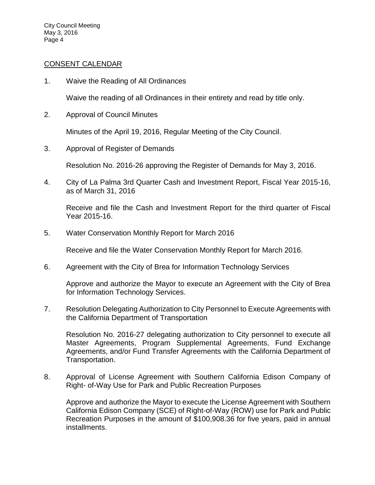## [CONSENT CALENDAR](http://lapalma.granicus.com/MediaPlayer.php?view_id=&clip_id=990&meta_id=132162)

1. Waive the Reading of All Ordinances

Waive the reading of all Ordinances in their entirety and read by title only.

2. Approval of Council Minutes

Minutes of the April 19, 2016, Regular Meeting of the City Council.

3. Approval of Register of Demands

Resolution No. 2016-26 approving the Register of Demands for May 3, 2016.

4. City of La Palma 3rd Quarter Cash and Investment Report, Fiscal Year 2015-16, as of March 31, 2016

Receive and file the Cash and Investment Report for the third quarter of Fiscal Year 2015-16.

5. Water Conservation Monthly Report for March 2016

Receive and file the Water Conservation Monthly Report for March 2016.

6. Agreement with the City of Brea for Information Technology Services

Approve and authorize the Mayor to execute an Agreement with the City of Brea for Information Technology Services.

7. Resolution Delegating Authorization to City Personnel to Execute Agreements with the California Department of Transportation

Resolution No. 2016-27 delegating authorization to City personnel to execute all Master Agreements, Program Supplemental Agreements, Fund Exchange Agreements, and/or Fund Transfer Agreements with the California Department of Transportation.

8. Approval of License Agreement with Southern California Edison Company of Right- of-Way Use for Park and Public Recreation Purposes

Approve and authorize the Mayor to execute the License Agreement with Southern California Edison Company (SCE) of Right-of-Way (ROW) use for Park and Public Recreation Purposes in the amount of \$100,908.36 for five years, paid in annual installments.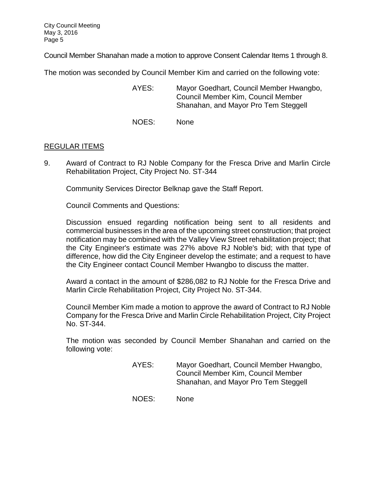Council Member Shanahan made a motion to approve Consent Calendar Items 1 through 8.

The motion was seconded by Council Member Kim and carried on the following vote:

- AYES: Mayor Goedhart, Council Member Hwangbo, Council Member Kim, Council Member Shanahan, and Mayor Pro Tem Steggell
- NOES: None

# [REGULAR ITEMS](http://lapalma.granicus.com/MediaPlayer.php?view_id=&clip_id=990&meta_id=132101)

9. [Award of Contract to RJ Noble Company for the Fresca Drive and Marlin Circle](http://lapalma.granicus.com/MediaPlayer.php?view_id=&clip_id=990&meta_id=132102)  [Rehabilitation Project, City Project No. ST-344](http://lapalma.granicus.com/MediaPlayer.php?view_id=&clip_id=990&meta_id=132102)

Community Services Director Belknap gave the Staff Report.

Council Comments and Questions:

Discussion ensued regarding notification being sent to all residents and commercial businesses in the area of the upcoming street construction; that project notification may be combined with the Valley View Street rehabilitation project; that the City Engineer's estimate was 27% above RJ Noble's bid; with that type of difference, how did the City Engineer develop the estimate; and a request to have the City Engineer contact Council Member Hwangbo to discuss the matter.

Award a contact in the amount of \$286,082 to RJ Noble for the Fresca Drive and Marlin Circle Rehabilitation Project, City Project No. ST-344.

Council Member Kim made a motion to approve the award of Contract to RJ Noble Company for the Fresca Drive and Marlin Circle Rehabilitation Project, City Project No. ST-344.

The motion was seconded by Council Member Shanahan and carried on the following vote:

- AYES: Mayor Goedhart, Council Member Hwangbo, Council Member Kim, Council Member Shanahan, and Mayor Pro Tem Steggell
- NOES: None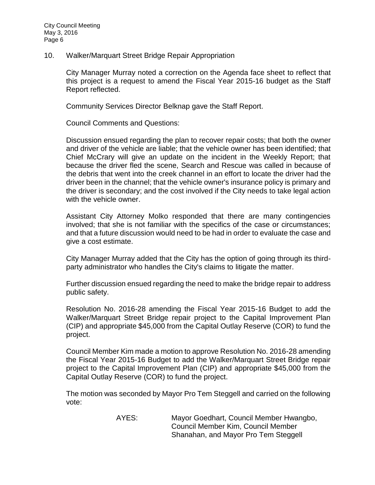10. [Walker/Marquart Street Bridge Repair Appropriation](http://lapalma.granicus.com/MediaPlayer.php?view_id=&clip_id=990&meta_id=132105)

City Manager Murray noted a correction on the Agenda face sheet to reflect that this project is a request to amend the Fiscal Year 2015-16 budget as the Staff Report reflected.

Community Services Director Belknap gave the Staff Report.

Council Comments and Questions:

Discussion ensued regarding the plan to recover repair costs; that both the owner and driver of the vehicle are liable; that the vehicle owner has been identified; that Chief McCrary will give an update on the incident in the Weekly Report; that because the driver fled the scene, Search and Rescue was called in because of the debris that went into the creek channel in an effort to locate the driver had the driver been in the channel; that the vehicle owner's insurance policy is primary and the driver is secondary; and the cost involved if the City needs to take legal action with the vehicle owner.

Assistant City Attorney Molko responded that there are many contingencies involved; that she is not familiar with the specifics of the case or circumstances; and that a future discussion would need to be had in order to evaluate the case and give a cost estimate.

City Manager Murray added that the City has the option of going through its thirdparty administrator who handles the City's claims to litigate the matter.

Further discussion ensued regarding the need to make the bridge repair to address public safety.

Resolution No. 2016-28 amending the Fiscal Year 2015-16 Budget to add the Walker/Marquart Street Bridge repair project to the Capital Improvement Plan (CIP) and appropriate \$45,000 from the Capital Outlay Reserve (COR) to fund the project.

Council Member Kim made a motion to approve Resolution No. 2016-28 amending the Fiscal Year 2015-16 Budget to add the Walker/Marquart Street Bridge repair project to the Capital Improvement Plan (CIP) and appropriate \$45,000 from the Capital Outlay Reserve (COR) to fund the project.

The motion was seconded by Mayor Pro Tem Steggell and carried on the following vote:

> AYES: Mayor Goedhart, Council Member Hwangbo, Council Member Kim, Council Member Shanahan, and Mayor Pro Tem Steggell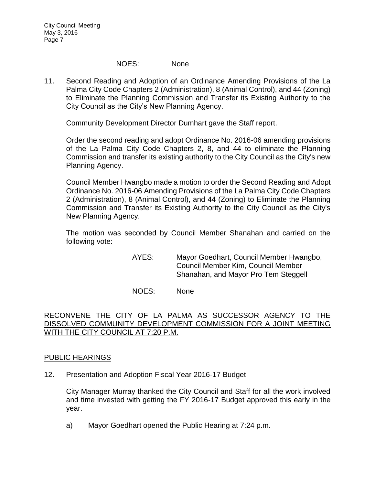# NOES: None

11. [Second Reading and Adoption of an Ordinance Amending Provisions of the La](http://lapalma.granicus.com/MediaPlayer.php?view_id=&clip_id=990&meta_id=132108)  [Palma City Code Chapters 2 \(Administration\), 8 \(Animal Control\), and 44 \(Zoning\)](http://lapalma.granicus.com/MediaPlayer.php?view_id=&clip_id=990&meta_id=132108)  [to Eliminate the Planning Commission and Transfer its Existing Authority to the](http://lapalma.granicus.com/MediaPlayer.php?view_id=&clip_id=990&meta_id=132108)  [City Council as the City's New Planning Agency.](http://lapalma.granicus.com/MediaPlayer.php?view_id=&clip_id=990&meta_id=132108)

Community Development Director Dumhart gave the Staff report.

Order the second reading and adopt Ordinance No. 2016-06 amending provisions of the La Palma City Code Chapters 2, 8, and 44 to eliminate the Planning Commission and transfer its existing authority to the City Council as the City's new Planning Agency.

Council Member Hwangbo made a motion to order the Second Reading and Adopt Ordinance No. 2016-06 Amending Provisions of the La Palma City Code Chapters 2 (Administration), 8 (Animal Control), and 44 (Zoning) to Eliminate the Planning Commission and Transfer its Existing Authority to the City Council as the City's New Planning Agency.

The motion was seconded by Council Member Shanahan and carried on the following vote:

> AYES: Mayor Goedhart, Council Member Hwangbo, Council Member Kim, Council Member Shanahan, and Mayor Pro Tem Steggell

NOES: None

# RECONVENE THE CITY OF LA PALMA AS SUCCESSOR AGENCY TO THE DISSOLVED COMMUNITY DEVELOPMENT COMMISSION FOR A JOINT MEETING WITH THE CITY COUNCIL AT 7:20 P.M.

# [PUBLIC HEARINGS](http://lapalma.granicus.com/MediaPlayer.php?view_id=&clip_id=990&meta_id=132121)

12. [Presentation and Adoption Fiscal Year 2016-17 Budget](http://lapalma.granicus.com/MediaPlayer.php?view_id=&clip_id=990&meta_id=132122)

City Manager Murray thanked the City Council and Staff for all the work involved and time invested with getting the FY 2016-17 Budget approved this early in the year.

a) [Mayor Goedhart opened the](http://lapalma.granicus.com/MediaPlayer.php?view_id=&clip_id=990&meta_id=132123) Public Hearing at 7:24 p.m.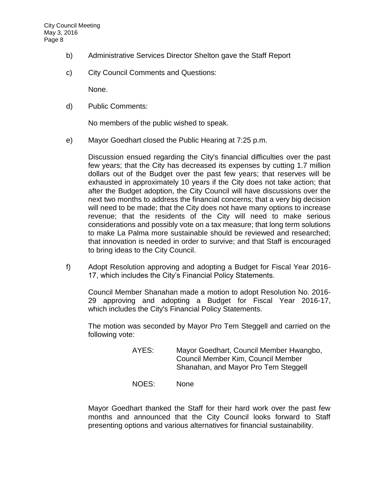- b) [Administrative Services Director Shelton gave the Staff Report](http://lapalma.granicus.com/MediaPlayer.php?view_id=&clip_id=990&meta_id=132124)
- c) [City Council Comments and Questions:](http://lapalma.granicus.com/MediaPlayer.php?view_id=&clip_id=990&meta_id=132125)

None.

d) Public Comments:

No members of the public wished to speak.

e) [Mayor Goedhart closed the Public Hearing at 7:25 p.m.](http://lapalma.granicus.com/MediaPlayer.php?view_id=&clip_id=990&meta_id=132126)

Discussion ensued regarding the City's financial difficulties over the past few years; that the City has decreased its expenses by cutting 1.7 million dollars out of the Budget over the past few years; that reserves will be exhausted in approximately 10 years if the City does not take action; that after the Budget adoption, the City Council will have discussions over the next two months to address the financial concerns; that a very big decision will need to be made; that the City does not have many options to increase revenue; that the residents of the City will need to make serious considerations and possibly vote on a tax measure; that long term solutions to make La Palma more sustainable should be reviewed and researched; that innovation is needed in order to survive; and that Staff is encouraged to bring ideas to the City Council.

f) Adopt Resolution approving and adopting a Budget for Fiscal Year 2016- 17, which includes the City's Financial Policy Statements.

Council Member Shanahan made a motion to adopt Resolution No. 2016- 29 approving and adopting a Budget for Fiscal Year 2016-17, which includes the City's Financial Policy Statements.

The motion was seconded by Mayor Pro Tem Steggell and carried on the following vote:

- AYES: Mayor Goedhart, Council Member Hwangbo, Council Member Kim, Council Member Shanahan, and Mayor Pro Tem Steggell
- NOES: None

Mayor Goedhart thanked the Staff for their hard work over the past few months and announced that the City Council looks forward to Staff presenting options and various alternatives for financial sustainability.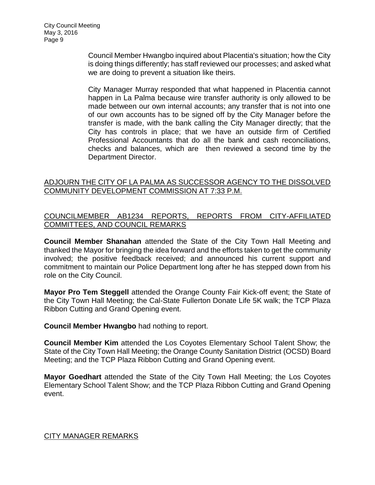Council Member Hwangbo inquired about Placentia's situation; how the City is doing things differently; has staff reviewed our processes; and asked what we are doing to prevent a situation like theirs.

City Manager Murray responded that what happened in Placentia cannot happen in La Palma because wire transfer authority is only allowed to be made between our own internal accounts; any transfer that is not into one of our own accounts has to be signed off by the City Manager before the transfer is made, with the bank calling the City Manager directly; that the City has controls in place; that we have an outside firm of Certified Professional Accountants that do all the bank and cash reconciliations, checks and balances, which are then reviewed a second time by the Department Director.

# [ADJOURN THE CITY OF LA PALMA AS SUCCESSOR AGENCY TO THE DISSOLVED](http://lapalma.granicus.com/MediaPlayer.php?view_id=&clip_id=990&meta_id=132135)  [COMMUNITY DEVELOPMENT COMMISSION AT 7:33 P.M.](http://lapalma.granicus.com/MediaPlayer.php?view_id=&clip_id=990&meta_id=132135)

# [COUNCILMEMBER AB1234 REPORTS, REPORTS FROM CITY-AFFILIATED](http://lapalma.granicus.com/MediaPlayer.php?view_id=&clip_id=990&meta_id=132136)  [COMMITTEES, AND COUNCIL REMARKS](http://lapalma.granicus.com/MediaPlayer.php?view_id=&clip_id=990&meta_id=132136)

**Council Member Shanahan** attended the State of the City Town Hall Meeting and thanked the Mayor for bringing the idea forward and the efforts taken to get the community involved; the positive feedback received; and announced his current support and commitment to maintain our Police Department long after he has stepped down from his role on the City Council.

**Mayor Pro Tem Steggell** attended the Orange County Fair Kick-off event; the State of the City Town Hall Meeting; the Cal-State Fullerton Donate Life 5K walk; the TCP Plaza Ribbon Cutting and Grand Opening event.

**Council Member Hwangbo** had nothing to report.

**Council Member Kim** attended the Los Coyotes Elementary School Talent Show; the State of the City Town Hall Meeting; the Orange County Sanitation District (OCSD) Board Meeting; and the TCP Plaza Ribbon Cutting and Grand Opening event.

**Mayor Goedhart** attended the State of the City Town Hall Meeting; the Los Coyotes Elementary School Talent Show; and the TCP Plaza Ribbon Cutting and Grand Opening event.

# [CITY MANAGER REMARKS](http://lapalma.granicus.com/MediaPlayer.php?view_id=&clip_id=990&meta_id=132142)